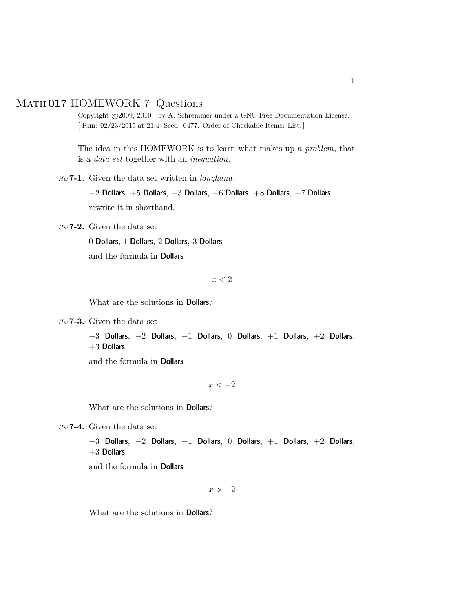## Math **017** HOMEWORK 7 Questions

Copyright ©2009, 2010 by A. Schremmer under a GNU Free Documentation License. [ Run: 02/23/2015 at 21:4 Seed: 6477. Order of Checkable Items: List.] ————————————————————————————————–

The idea in this HOMEWORK is to learn what makes up a *problem*, that is a *data set* together with an *inequation*.

*Hw* **7-1.** Given the data set written in *longhand*,

 $-2$  Dollars,  $+5$  Dollars,  $-3$  Dollars,  $-6$  Dollars,  $+8$  Dollars,  $-7$  Dollars

rewrite it in shorthand.

*Hw* **7-2.** Given the data set

0 Dollars, 1 Dollars, 2 Dollars, 3 Dollars

and the formula in Dollars

 $x < 2$ 

What are the solutions in Dollars?

*Hw* **7-3.** Given the data set

```
-3 Dollars, -2 Dollars, -1 Dollars, 0 Dollars, +1 Dollars, +2 Dollars,
+3 Dollars
```
and the formula in Dollars

 $x < +2$ 

What are the solutions in Dollars?

*Hw* **7-4.** Given the data set

```
-3 Dollars, -2 Dollars, -1 Dollars, 0 Dollars, +1 Dollars, +2 Dollars,
+3 Dollars
```
and the formula in Dollars

 $x > +2$ 

What are the solutions in Dollars?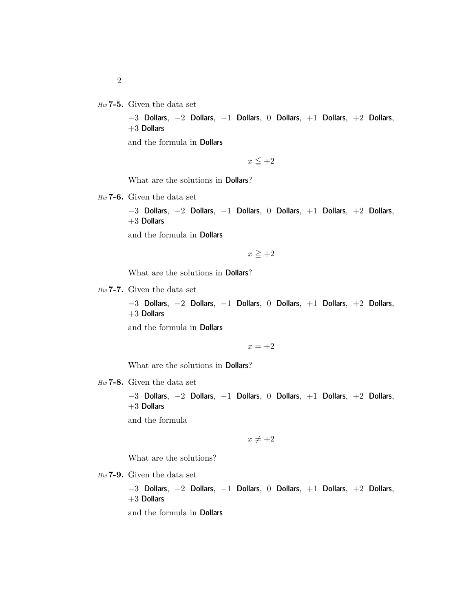*Hw* **7-5.** Given the data set

−3 Dollars, −2 Dollars, −1 Dollars, 0 Dollars, +1 Dollars, +2 Dollars,  $+3$  Dollars

and the formula in Dollars

 $x \leq +2$ 

What are the solutions in Dollars?

*Hw* **7-6.** Given the data set

−3 Dollars, −2 Dollars, −1 Dollars, 0 Dollars, +1 Dollars, +2 Dollars,  $+3$  Dollars

and the formula in Dollars

 $x \geq +2$ 

What are the solutions in Dollars?

*Hw* **7-7.** Given the data set

−3 Dollars, −2 Dollars, −1 Dollars, 0 Dollars, +1 Dollars, +2 Dollars,  $+3$  Dollars

and the formula in Dollars

 $x = +2$ 

What are the solutions in Dollars?

*Hw* **7-8.** Given the data set

−3 Dollars, −2 Dollars, −1 Dollars, 0 Dollars, +1 Dollars, +2 Dollars,  $+3$  Dollars

and the formula

 $x \neq +2$ 

What are the solutions?

*Hw* **7-9.** Given the data set

−3 Dollars, −2 Dollars, −1 Dollars, 0 Dollars, +1 Dollars, +2 Dollars,  $+3$  Dollars

and the formula in Dollars